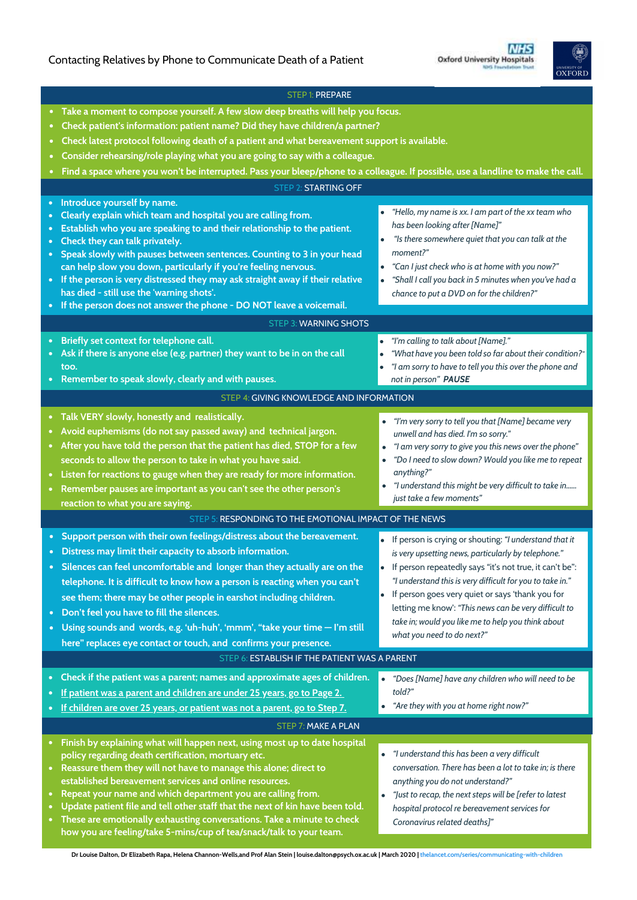# Contacting Relatives by Phone to Communicate Death of a Patient



|                                                                                            | <b>STEP 1: PREPARE</b>                                                                                                                                                                                                                                                                                                                                                                                                                                                                                                                                               |                                                                                                                                                                                                                                                                                                                                                                                                                                                       |
|--------------------------------------------------------------------------------------------|----------------------------------------------------------------------------------------------------------------------------------------------------------------------------------------------------------------------------------------------------------------------------------------------------------------------------------------------------------------------------------------------------------------------------------------------------------------------------------------------------------------------------------------------------------------------|-------------------------------------------------------------------------------------------------------------------------------------------------------------------------------------------------------------------------------------------------------------------------------------------------------------------------------------------------------------------------------------------------------------------------------------------------------|
|                                                                                            | • Take a moment to compose yourself. A few slow deep breaths will help you focus.<br>Check patient's information: patient name? Did they have children/a partner?<br>Check latest protocol following death of a patient and what bereavement support is available.<br>Consider rehearsing/role playing what you are going to say with a colleague.                                                                                                                                                                                                                   |                                                                                                                                                                                                                                                                                                                                                                                                                                                       |
|                                                                                            | Find a space where you won't be interrupted. Pass your bleep/phone to a colleague. If possible, use a landline to make the call.                                                                                                                                                                                                                                                                                                                                                                                                                                     |                                                                                                                                                                                                                                                                                                                                                                                                                                                       |
| <b>STEP 2: STARTING OFF</b>                                                                |                                                                                                                                                                                                                                                                                                                                                                                                                                                                                                                                                                      |                                                                                                                                                                                                                                                                                                                                                                                                                                                       |
| $\bullet$<br>$\bullet$<br>$\bullet$<br>$\bullet$<br>$\bullet$                              | Introduce yourself by name.<br>Clearly explain which team and hospital you are calling from.<br>Establish who you are speaking to and their relationship to the patient.<br>Check they can talk privately.<br>Speak slowly with pauses between sentences. Counting to 3 in your head<br>can help slow you down, particularly if you're feeling nervous.<br>• If the person is very distressed they may ask straight away if their relative<br>has died - still use the 'warning shots'.<br>If the person does not answer the phone - DO NOT leave a voicemail.       | "Hello, my name is xx. I am part of the xx team who<br>has been looking after [Name]"<br>"Is there somewhere quiet that you can talk at the<br>$\bullet$<br>moment?"<br>"Can I just check who is at home with you now?"<br>$\bullet$<br>"Shall I call you back in 5 minutes when you've had a<br>$\bullet$<br>chance to put a DVD on for the children?"                                                                                               |
| <b>STEP 3: WARNING SHOTS</b>                                                               |                                                                                                                                                                                                                                                                                                                                                                                                                                                                                                                                                                      |                                                                                                                                                                                                                                                                                                                                                                                                                                                       |
|                                                                                            | Briefly set context for telephone call.<br>Ask if there is anyone else (e.g. partner) they want to be in on the call<br>too.<br>Remember to speak slowly, clearly and with pauses.                                                                                                                                                                                                                                                                                                                                                                                   | "I'm calling to talk about [Name]."<br>"What have you been told so far about their condition?"<br>"I am sorry to have to tell you this over the phone and<br>not in person" PAUSE                                                                                                                                                                                                                                                                     |
| STEP 4: GIVING KNOWLEDGE AND INFORMATION                                                   |                                                                                                                                                                                                                                                                                                                                                                                                                                                                                                                                                                      |                                                                                                                                                                                                                                                                                                                                                                                                                                                       |
|                                                                                            | • Talk VERY slowly, honestly and realistically.<br>Avoid euphemisms (do not say passed away) and technical jargon.<br>After you have told the person that the patient has died, STOP for a few<br>seconds to allow the person to take in what you have said.<br>• Listen for reactions to gauge when they are ready for more information.<br>Remember pauses are important as you can't see the other person's                                                                                                                                                       | "I'm very sorry to tell you that [Name] became very<br>unwell and has died. I'm so sorry."<br>"I am very sorry to give you this news over the phone"<br>"Do I need to slow down? Would you like me to repeat<br>$\bullet$<br>anything?"<br>"I understand this might be very difficult to take in<br>just take a few moments"                                                                                                                          |
| reaction to what you are saying.<br>STEP 5: RESPONDING TO THE EMOTIONAL IMPACT OF THE NEWS |                                                                                                                                                                                                                                                                                                                                                                                                                                                                                                                                                                      |                                                                                                                                                                                                                                                                                                                                                                                                                                                       |
|                                                                                            | • Support person with their own feelings/distress about the bereavement.<br>Distress may limit their capacity to absorb information.<br>• Silences can feel uncomfortable and longer than they actually are on the<br>telephone. It is difficult to know how a person is reacting when you can't<br>see them; there may be other people in earshot including children.<br>Don't feel you have to fill the silences.<br>Using sounds and words, e.g. 'uh-huh', 'mmm', "take your time - I'm still<br>here" replaces eye contact or touch, and confirms your presence. | If person is crying or shouting: "I understand that it<br>is very upsetting news, particularly by telephone."<br>• If person repeatedly says "it's not true, it can't be":<br>"I understand this is very difficult for you to take in."<br>If person goes very quiet or says 'thank you for<br>$\bullet$<br>letting me know': "This news can be very difficult to<br>take in; would you like me to help you think about<br>what you need to do next?" |
| STEP 6: ESTABLISH IF THE PATIENT WAS A PARENT                                              |                                                                                                                                                                                                                                                                                                                                                                                                                                                                                                                                                                      |                                                                                                                                                                                                                                                                                                                                                                                                                                                       |
| $\bullet$                                                                                  | Check if the patient was a parent; names and approximate ages of children.<br>If patient was a parent and children are under 25 years, go to Page 2.<br>If children are over 25 years, or patient was not a parent, go to Step 7.<br>STEP 7: MAKE A PLAN                                                                                                                                                                                                                                                                                                             | "Does [Name] have any children who will need to be<br>$\bullet$<br>told?"<br>"Are they with you at home right now?"                                                                                                                                                                                                                                                                                                                                   |
| Finish by explaining what will happen next, using most up to date hospital                 |                                                                                                                                                                                                                                                                                                                                                                                                                                                                                                                                                                      |                                                                                                                                                                                                                                                                                                                                                                                                                                                       |
| $\bullet$                                                                                  | policy regarding death certification, mortuary etc.<br>Reassure them they will not have to manage this alone; direct to<br>established bereavement services and online resources.<br>Repeat your name and which department you are calling from.<br>Update patient file and tell other staff that the next of kin have been told.<br>These are emotionally exhausting conversations. Take a minute to check<br>how you are feeling/take 5-mins/cup of tea/snack/talk to your team.                                                                                   | • "I understand this has been a very difficult<br>conversation. There has been a lot to take in; is there<br>anything you do not understand?"<br>"Just to recap, the next steps will be [refer to latest<br>$\bullet$<br>hospital protocol re bereavement services for<br>Coronavirus related deaths]"                                                                                                                                                |

**Dr Louise Dalton, Dr Elizabeth Rapa, Helena Channon-Wells,and Prof Alan Stein | louise.dalton@psych.ox.ac.uk | March 2020 | [thelancet.com/series/communicating-with-children](http://www.thelancet.com/series/communicating-with-children)**